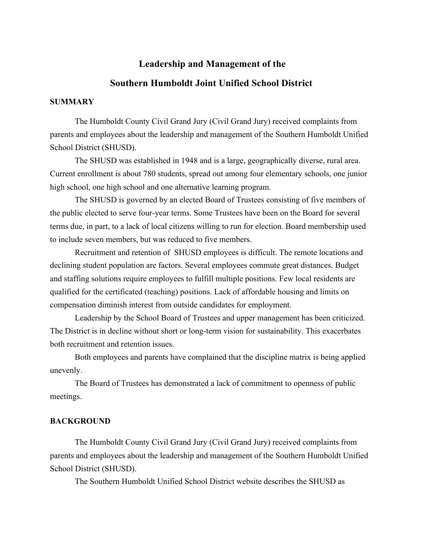# **Leadership and Management of the**

#### **Southern Humboldt Joint Unified School District**

#### **SUMMARY**

The Humboldt County Civil Grand Jury (Civil Grand Jury) received complaints from parents and employees about the leadership and management of the Southern Humboldt Unified School District (SHUSD).

The SHUSD was established in 1948 and is a large, geographically diverse, rural area. Current enrollment is about 780 students, spread out among four elementary schools, one junior high school, one high school and one alternative learning program.

The SHUSD is governed by an elected Board of Trustees consisting of five members of the public elected to serve four-year terms. Some Trustees have been on the Board for several terms due, in part, to a lack of local citizens willing to run for election. Board membership used to include seven members, but was reduced to five members.

Recruitment and retention of SHUSD employees is difficult. The remote locations and declining student population are factors. Several employees commute great distances. Budget and staffing solutions require employees to fulfill multiple positions. Few local residents are qualified for the certificated (teaching) positions. Lack of affordable housing and limits on compensation diminish interest from outside candidates for employment.

Leadership by the School Board of Trustees and upper management has been criticized. The District is in decline without short or long-term vision for sustainability. This exacerbates both recruitment and retention issues.

Both employees and parents have complained that the discipline matrix is being applied unevenly.

The Board of Trustees has demonstrated a lack of commitment to openness of public meetings.

## **BACKGROUND**

The Humboldt County Civil Grand Jury (Civil Grand Jury) received complaints from parents and employees about the leadership and management of the Southern Humboldt Unified School District (SHUSD).

The Southern Humboldt Unified School District website describes the SHUSD as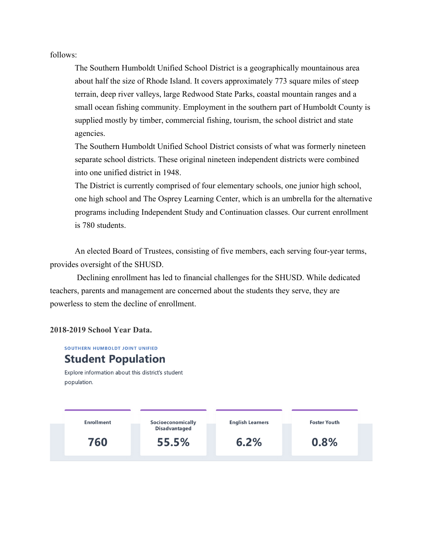follows:

The Southern Humboldt Unified School District is a geographically mountainous area about half the size of Rhode Island. It covers approximately 773 square miles of steep terrain, deep river valleys, large Redwood State Parks, coastal mountain ranges and a small ocean fishing community. Employment in the southern part of Humboldt County is supplied mostly by timber, commercial fishing, tourism, the school district and state agencies.

The Southern Humboldt Unified School District consists of what was formerly nineteen separate school districts. These original nineteen independent districts were combined into one unified district in 1948.

The District is currently comprised of four elementary schools, one junior high school, one high school and The Osprey Learning Center, which is an umbrella for the alternative programs including Independent Study and Continuation classes. Our current enrollment is 780 students.

An elected Board of Trustees, consisting of five members, each serving four-year terms, provides oversight of the SHUSD.

Declining enrollment has led to financial challenges for the SHUSD. While dedicated teachers, parents and management are concerned about the students they serve, they are powerless to stem the decline of enrollment.

## **2018-2019 School Year Data.**

**SOUTHERN HUMBOLDT JOINT UNIFIED** 

# **Student Population**

Explore information about this district's student population.

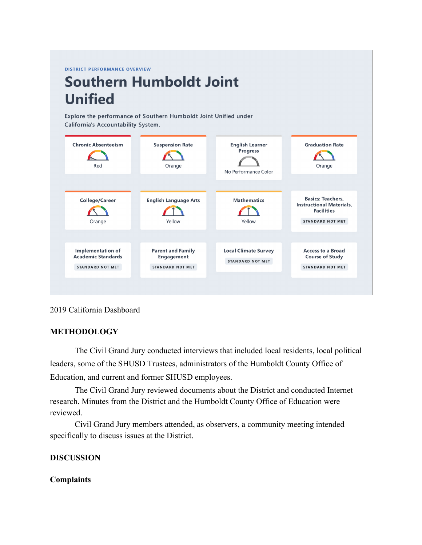**DISTRICT PERFORMANCE OVERVIEW** 

# **Southern Humboldt Joint Unified**

Explore the performance of Southern Humboldt Joint Unified under California's Accountability System.



## 2019 California Dashboard

## **METHODOLOGY**

The Civil Grand Jury conducted interviews that included local residents, local political leaders, some of the SHUSD Trustees, administrators of the Humboldt County Office of Education, and current and former SHUSD employees.

The Civil Grand Jury reviewed documents about the District and conducted Internet research. Minutes from the District and the Humboldt County Office of Education were reviewed.

Civil Grand Jury members attended, as observers, a community meeting intended specifically to discuss issues at the District.

## **DISCUSSION**

#### **Complaints**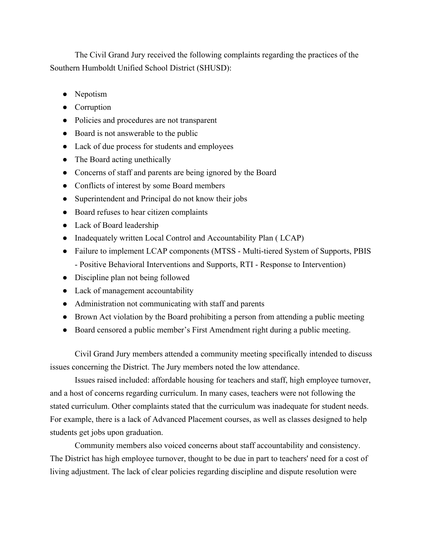The Civil Grand Jury received the following complaints regarding the practices of the Southern Humboldt Unified School District (SHUSD):

- Nepotism
- Corruption
- Policies and procedures are not transparent
- Board is not answerable to the public
- Lack of due process for students and employees
- The Board acting unethically
- Concerns of staff and parents are being ignored by the Board
- Conflicts of interest by some Board members
- Superintendent and Principal do not know their jobs
- Board refuses to hear citizen complaints
- Lack of Board leadership
- Inadequately written Local Control and Accountability Plan (LCAP)
- Failure to implement LCAP components (MTSS Multi-tiered System of Supports, PBIS
	- Positive Behavioral Interventions and Supports, RTI Response to Intervention)
- Discipline plan not being followed
- Lack of management accountability
- Administration not communicating with staff and parents
- Brown Act violation by the Board prohibiting a person from attending a public meeting
- Board censored a public member's First Amendment right during a public meeting.

Civil Grand Jury members attended a community meeting specifically intended to discuss issues concerning the District. The Jury members noted the low attendance.

Issues raised included: affordable housing for teachers and staff, high employee turnover, and a host of concerns regarding curriculum. In many cases, teachers were not following the stated curriculum. Other complaints stated that the curriculum was inadequate for student needs. For example, there is a lack of Advanced Placement courses, as well as classes designed to help students get jobs upon graduation.

Community members also voiced concerns about staff accountability and consistency. The District has high employee turnover, thought to be due in part to teachers' need for a cost of living adjustment. The lack of clear policies regarding discipline and dispute resolution were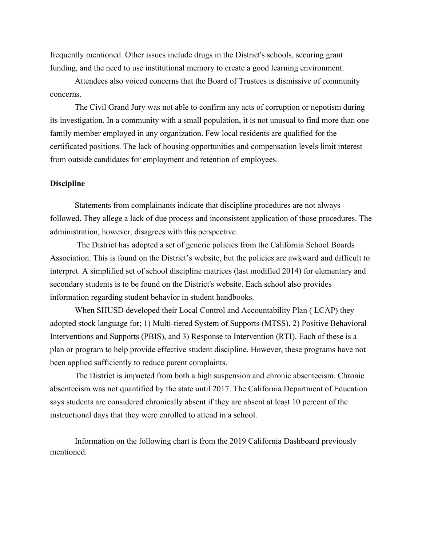frequently mentioned. Other issues include drugs in the District's schools, securing grant funding, and the need to use institutional memory to create a good learning environment.

Attendees also voiced concerns that the Board of Trustees is dismissive of community concerns.

The Civil Grand Jury was not able to confirm any acts of corruption or nepotism during its investigation. In a community with a small population, it is not unusual to find more than one family member employed in any organization. Few local residents are qualified for the certificated positions. The lack of housing opportunities and compensation levels limit interest from outside candidates for employment and retention of employees.

#### **Discipline**

Statements from complainants indicate that discipline procedures are not always followed. They allege a lack of due process and inconsistent application of those procedures. The administration, however, disagrees with this perspective.

The District has adopted a set of generic policies from the California School Boards Association. This is found on the District's website, but the policies are awkward and difficult to interpret. A simplified set of school discipline matrices (last modified 2014) for elementary and secondary students is to be found on the District's website. Each school also provides information regarding student behavior in student handbooks.

When SHUSD developed their Local Control and Accountability Plan ( LCAP) they adopted stock language for; 1) Multi-tiered System of Supports (MTSS), 2) Positive Behavioral Interventions and Supports (PBIS), and 3) Response to Intervention (RTI). Each of these is a plan or program to help provide effective student discipline. However, these programs have not been applied sufficiently to reduce parent complaints.

The District is impacted from both a high suspension and chronic absenteeism. Chronic absenteeism was not quantified by the state until 2017. The California Department of Education says students are considered chronically absent if they are absent at least 10 percent of the instructional days that they were enrolled to attend in a school.

Information on the following chart is from the 2019 California Dashboard previously mentioned.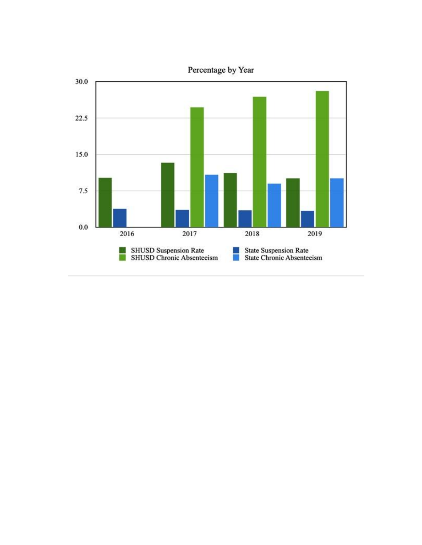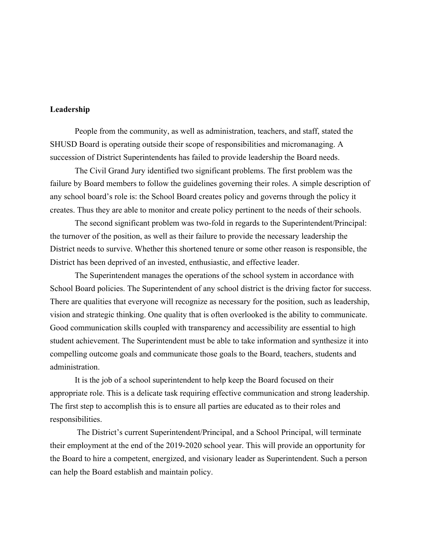### **Leadership**

People from the community, as well as administration, teachers, and staff, stated the SHUSD Board is operating outside their scope of responsibilities and micromanaging. A succession of District Superintendents has failed to provide leadership the Board needs.

The Civil Grand Jury identified two significant problems. The first problem was the failure by Board members to follow the guidelines governing their roles. A simple description of any school board's role is: the School Board creates policy and governs through the policy it creates. Thus they are able to monitor and create policy pertinent to the needs of their schools.

The second significant problem was two-fold in regards to the Superintendent/Principal: the turnover of the position, as well as their failure to provide the necessary leadership the District needs to survive. Whether this shortened tenure or some other reason is responsible, the District has been deprived of an invested, enthusiastic, and effective leader.

The Superintendent manages the operations of the school system in accordance with School Board policies. The Superintendent of any school district is the driving factor for success. There are qualities that everyone will recognize as necessary for the position, such as leadership, vision and strategic thinking. One quality that is often overlooked is the ability to communicate. Good communication skills coupled with transparency and accessibility are essential to high student achievement. The Superintendent must be able to take information and synthesize it into compelling outcome goals and communicate those goals to the Board, teachers, students and administration.

It is the job of a school superintendent to help keep the Board focused on their appropriate role. This is a delicate task requiring effective communication and strong leadership. The first step to accomplish this is to ensure all parties are educated as to their roles and responsibilities.

The District's current Superintendent/Principal, and a School Principal, will terminate their employment at the end of the 2019-2020 school year. This will provide an opportunity for the Board to hire a competent, energized, and visionary leader as Superintendent. Such a person can help the Board establish and maintain policy.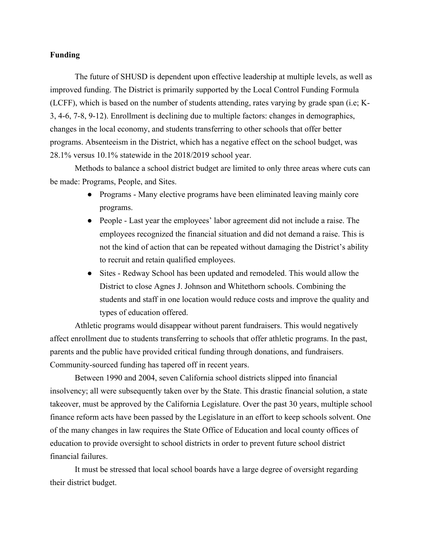#### **Funding**

The future of SHUSD is dependent upon effective leadership at multiple levels, as well as improved funding. The District is primarily supported by the Local Control Funding Formula (LCFF), which is based on the number of students attending, rates varying by grade span (i.e; K-3, 4-6, 7-8, 9-12). Enrollment is declining due to multiple factors: changes in demographics, changes in the local economy, and students transferring to other schools that offer better programs. Absenteeism in the District, which has a negative effect on the school budget, was 28.1% versus 10.1% statewide in the 2018/2019 school year.

Methods to balance a school district budget are limited to only three areas where cuts can be made: Programs, People, and Sites.

- Programs Many elective programs have been eliminated leaving mainly core programs.
- People Last year the employees' labor agreement did not include a raise. The employees recognized the financial situation and did not demand a raise. This is not the kind of action that can be repeated without damaging the District's ability to recruit and retain qualified employees.
- Sites Redway School has been updated and remodeled. This would allow the District to close Agnes J. Johnson and Whitethorn schools. Combining the students and staff in one location would reduce costs and improve the quality and types of education offered.

Athletic programs would disappear without parent fundraisers. This would negatively affect enrollment due to students transferring to schools that offer athletic programs. In the past, parents and the public have provided critical funding through donations, and fundraisers. Community-sourced funding has tapered off in recent years.

Between 1990 and 2004, seven California school districts slipped into financial insolvency; all were subsequently taken over by the State. This drastic financial solution, a state takeover, must be approved by the California Legislature. Over the past 30 years, multiple school finance reform acts have been passed by the Legislature in an effort to keep schools solvent. One of the many changes in law requires the State Office of Education and local county offices of education to provide oversight to school districts in order to prevent future school district financial failures.

It must be stressed that local school boards have a large degree of oversight regarding their district budget.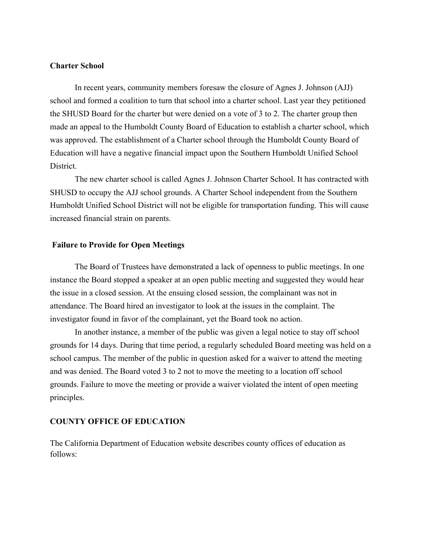#### **Charter School**

In recent years, community members foresaw the closure of Agnes J. Johnson (AJJ) school and formed a coalition to turn that school into a charter school. Last year they petitioned the SHUSD Board for the charter but were denied on a vote of 3 to 2. The charter group then made an appeal to the Humboldt County Board of Education to establish a charter school, which was approved. The establishment of a Charter school through the Humboldt County Board of Education will have a negative financial impact upon the Southern Humboldt Unified School District.

The new charter school is called Agnes J. Johnson Charter School. It has contracted with SHUSD to occupy the AJJ school grounds. A Charter School independent from the Southern Humboldt Unified School District will not be eligible for transportation funding. This will cause increased financial strain on parents.

#### **Failure to Provide for Open Meetings**

The Board of Trustees have demonstrated a lack of openness to public meetings. In one instance the Board stopped a speaker at an open public meeting and suggested they would hear the issue in a closed session. At the ensuing closed session, the complainant was not in attendance. The Board hired an investigator to look at the issues in the complaint. The investigator found in favor of the complainant, yet the Board took no action.

In another instance, a member of the public was given a legal notice to stay off school grounds for 14 days. During that time period, a regularly scheduled Board meeting was held on a school campus. The member of the public in question asked for a waiver to attend the meeting and was denied. The Board voted 3 to 2 not to move the meeting to a location off school grounds. Failure to move the meeting or provide a waiver violated the intent of open meeting principles.

#### **COUNTY OFFICE OF EDUCATION**

The California Department of Education website describes county offices of education as follows: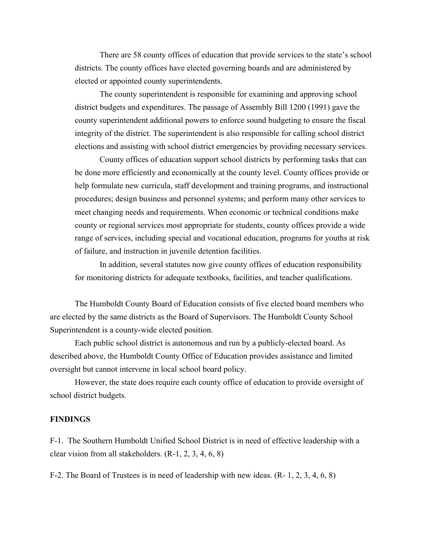There are 58 county offices of education that provide services to the state's school districts. The county offices have elected governing boards and are administered by elected or appointed county superintendents.

The county superintendent is responsible for examining and approving school district budgets and expenditures. The passage of Assembly Bill 1200 (1991) gave the county superintendent additional powers to enforce sound budgeting to ensure the fiscal integrity of the district. The superintendent is also responsible for calling school district elections and assisting with school district emergencies by providing necessary services.

County offices of education support school districts by performing tasks that can be done more efficiently and economically at the county level. County offices provide or help formulate new curricula, staff development and training programs, and instructional procedures; design business and personnel systems; and perform many other services to meet changing needs and requirements. When economic or technical conditions make county or regional services most appropriate for students, county offices provide a wide range of services, including special and vocational education, programs for youths at risk of failure, and instruction in juvenile detention facilities.

In addition, several statutes now give county offices of education responsibility for monitoring districts for adequate textbooks, facilities, and teacher qualifications.

The Humboldt County Board of Education consists of five elected board members who are elected by the same districts as the Board of Supervisors. The Humboldt County School Superintendent is a county-wide elected position.

Each public school district is autonomous and run by a publicly-elected board. As described above, the Humboldt County Office of Education provides assistance and limited oversight but cannot intervene in local school board policy.

However, the state does require each county office of education to provide oversight of school district budgets.

#### **FINDINGS**

F-1. The Southern Humboldt Unified School District is in need of effective leadership with a clear vision from all stakeholders. (R-1, 2, 3, 4, 6, 8)

F-2. The Board of Trustees is in need of leadership with new ideas. (R- 1, 2, 3, 4, 6, 8)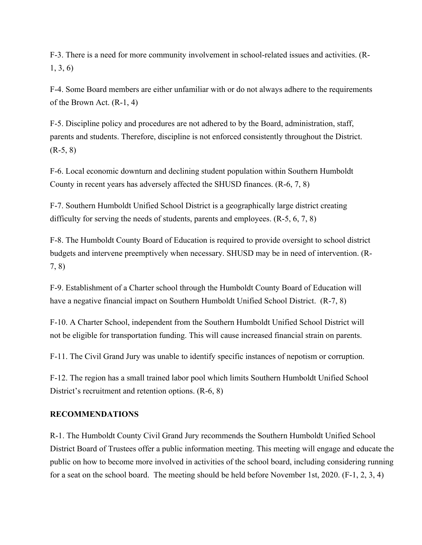F-3. There is a need for more community involvement in school-related issues and activities. (R-1, 3, 6)

F-4. Some Board members are either unfamiliar with or do not always adhere to the requirements of the Brown Act. (R-1, 4)

F-5. Discipline policy and procedures are not adhered to by the Board, administration, staff, parents and students. Therefore, discipline is not enforced consistently throughout the District.  $(R-5, 8)$ 

F-6. Local economic downturn and declining student population within Southern Humboldt County in recent years has adversely affected the SHUSD finances. (R-6, 7, 8)

F-7. Southern Humboldt Unified School District is a geographically large district creating difficulty for serving the needs of students, parents and employees. (R-5, 6, 7, 8)

F-8. The Humboldt County Board of Education is required to provide oversight to school district budgets and intervene preemptively when necessary. SHUSD may be in need of intervention. (R-7, 8)

F-9. Establishment of a Charter school through the Humboldt County Board of Education will have a negative financial impact on Southern Humboldt Unified School District. (R-7, 8)

F-10. A Charter School, independent from the Southern Humboldt Unified School District will not be eligible for transportation funding. This will cause increased financial strain on parents.

F-11. The Civil Grand Jury was unable to identify specific instances of nepotism or corruption.

F-12. The region has a small trained labor pool which limits Southern Humboldt Unified School District's recruitment and retention options. (R-6, 8)

# **RECOMMENDATIONS**

R-1. The Humboldt County Civil Grand Jury recommends the Southern Humboldt Unified School District Board of Trustees offer a public information meeting. This meeting will engage and educate the public on how to become more involved in activities of the school board, including considering running for a seat on the school board. The meeting should be held before November 1st, 2020. (F-1, 2, 3, 4)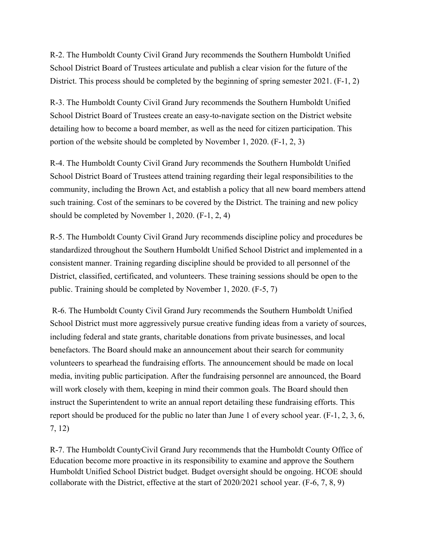R-2. The Humboldt County Civil Grand Jury recommends the Southern Humboldt Unified School District Board of Trustees articulate and publish a clear vision for the future of the District. This process should be completed by the beginning of spring semester 2021. (F-1, 2)

R-3. The Humboldt County Civil Grand Jury recommends the Southern Humboldt Unified School District Board of Trustees create an easy-to-navigate section on the District website detailing how to become a board member, as well as the need for citizen participation. This portion of the website should be completed by November 1, 2020. (F-1, 2, 3)

R-4. The Humboldt County Civil Grand Jury recommends the Southern Humboldt Unified School District Board of Trustees attend training regarding their legal responsibilities to the community, including the Brown Act, and establish a policy that all new board members attend such training. Cost of the seminars to be covered by the District. The training and new policy should be completed by November 1, 2020. (F-1, 2, 4)

R-5. The Humboldt County Civil Grand Jury recommends discipline policy and procedures be standardized throughout the Southern Humboldt Unified School District and implemented in a consistent manner. Training regarding discipline should be provided to all personnel of the District, classified, certificated, and volunteers. These training sessions should be open to the public. Training should be completed by November 1, 2020. (F-5, 7)

R-6. The Humboldt County Civil Grand Jury recommends the Southern Humboldt Unified School District must more aggressively pursue creative funding ideas from a variety of sources, including federal and state grants, charitable donations from private businesses, and local benefactors. The Board should make an announcement about their search for community volunteers to spearhead the fundraising efforts. The announcement should be made on local media, inviting public participation. After the fundraising personnel are announced, the Board will work closely with them, keeping in mind their common goals. The Board should then instruct the Superintendent to write an annual report detailing these fundraising efforts. This report should be produced for the public no later than June 1 of every school year. (F-1, 2, 3, 6, 7, 12)

R-7. The Humboldt CountyCivil Grand Jury recommends that the Humboldt County Office of Education become more proactive in its responsibility to examine and approve the Southern Humboldt Unified School District budget. Budget oversight should be ongoing. HCOE should collaborate with the District, effective at the start of 2020/2021 school year. (F-6, 7, 8, 9)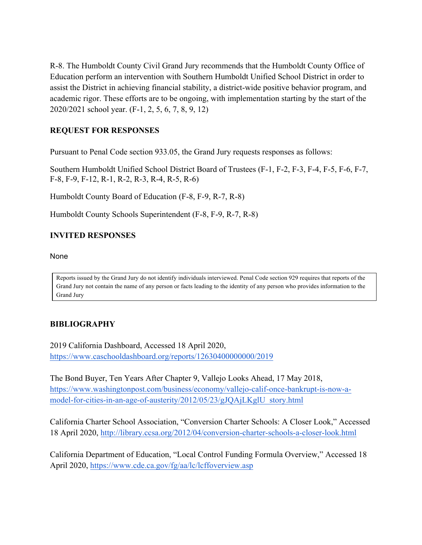R-8. The Humboldt County Civil Grand Jury recommends that the Humboldt County Office of Education perform an intervention with Southern Humboldt Unified School District in order to assist the District in achieving financial stability, a district-wide positive behavior program, and academic rigor. These efforts are to be ongoing, with implementation starting by the start of the 2020/2021 school year. (F-1, 2, 5, 6, 7, 8, 9, 12)

# **REQUEST FOR RESPONSES**

Pursuant to Penal Code section 933.05, the Grand Jury requests responses as follows:

Southern Humboldt Unified School District Board of Trustees (F-1, F-2, F-3, F-4, F-5, F-6, F-7, F-8, F-9, F-12, R-1, R-2, R-3, R-4, R-5, R-6)

Humboldt County Board of Education (F-8, F-9, R-7, R-8)

Humboldt County Schools Superintendent (F-8, F-9, R-7, R-8)

# **INVITED RESPONSES**

None

Reports issued by the Grand Jury do not identify individuals interviewed. Penal Code section 929 requires that reports of the Grand Jury not contain the name of any person or facts leading to the identity of any person who provides information to the Grand Jury

# **BIBLIOGRAPHY**

2019 California Dashboard, Accessed 18 April 2020, https://www.caschooldashboard.org/reports/12630400000000/2019

The Bond Buyer, Ten Years After Chapter 9, Vallejo Looks Ahead, 17 May 2018, https://www.washingtonpost.com/business/economy/vallejo-calif-once-bankrupt-is-now-amodel-for-cities-in-an-age-of-austerity/2012/05/23/gJQAjLKglU\_story.html

California Charter School Association, "Conversion Charter Schools: A Closer Look," Accessed 18 April 2020, http://library.ccsa.org/2012/04/conversion-charter-schools-a-closer-look.html

California Department of Education, "Local Control Funding Formula Overview," Accessed 18 April 2020, https://www.cde.ca.gov/fg/aa/lc/lcffoverview.asp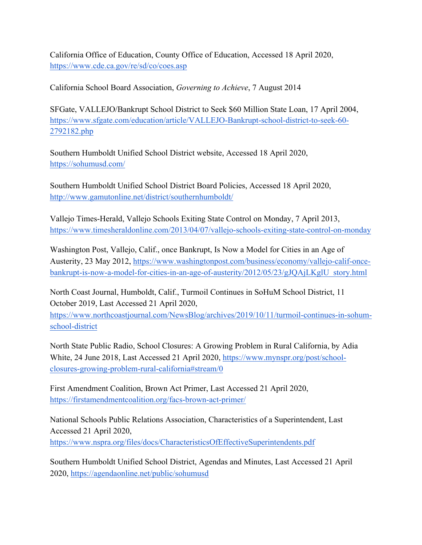California Office of Education, County Office of Education, Accessed 18 April 2020, https://www.cde.ca.gov/re/sd/co/coes.asp

California School Board Association, *Governing to Achieve*, 7 August 2014

SFGate, VALLEJO/Bankrupt School District to Seek \$60 Million State Loan, 17 April 2004, https://www.sfgate.com/education/article/VALLEJO-Bankrupt-school-district-to-seek-60- 2792182.php

Southern Humboldt Unified School District website, Accessed 18 April 2020, https://sohumusd.com/

Southern Humboldt Unified School District Board Policies, Accessed 18 April 2020, http://www.gamutonline.net/district/southernhumboldt/

Vallejo Times-Herald, Vallejo Schools Exiting State Control on Monday, 7 April 2013, https://www.timesheraldonline.com/2013/04/07/vallejo-schools-exiting-state-control-on-monday

Washington Post, Vallejo, Calif., once Bankrupt, Is Now a Model for Cities in an Age of Austerity, 23 May 2012, https://www.washingtonpost.com/business/economy/vallejo-calif-oncebankrupt-is-now-a-model-for-cities-in-an-age-of-austerity/2012/05/23/gJQAjLKglU\_story.html

North Coast Journal, Humboldt, Calif., Turmoil Continues in SoHuM School District, 11 October 2019, Last Accessed 21 April 2020,

https://www.northcoastjournal.com/NewsBlog/archives/2019/10/11/turmoil-continues-in-sohumschool-district

North State Public Radio, School Closures: A Growing Problem in Rural California, by Adia White, 24 June 2018, Last Accessed 21 April 2020, https://www.mynspr.org/post/schoolclosures-growing-problem-rural-california#stream/0

First Amendment Coalition, Brown Act Primer, Last Accessed 21 April 2020, https://firstamendmentcoalition.org/facs-brown-act-primer/

National Schools Public Relations Association, Characteristics of a Superintendent, Last Accessed 21 April 2020, https://www.nspra.org/files/docs/CharacteristicsOfEffectiveSuperintendents.pdf

Southern Humboldt Unified School District, Agendas and Minutes, Last Accessed 21 April 2020, https://agendaonline.net/public/sohumusd